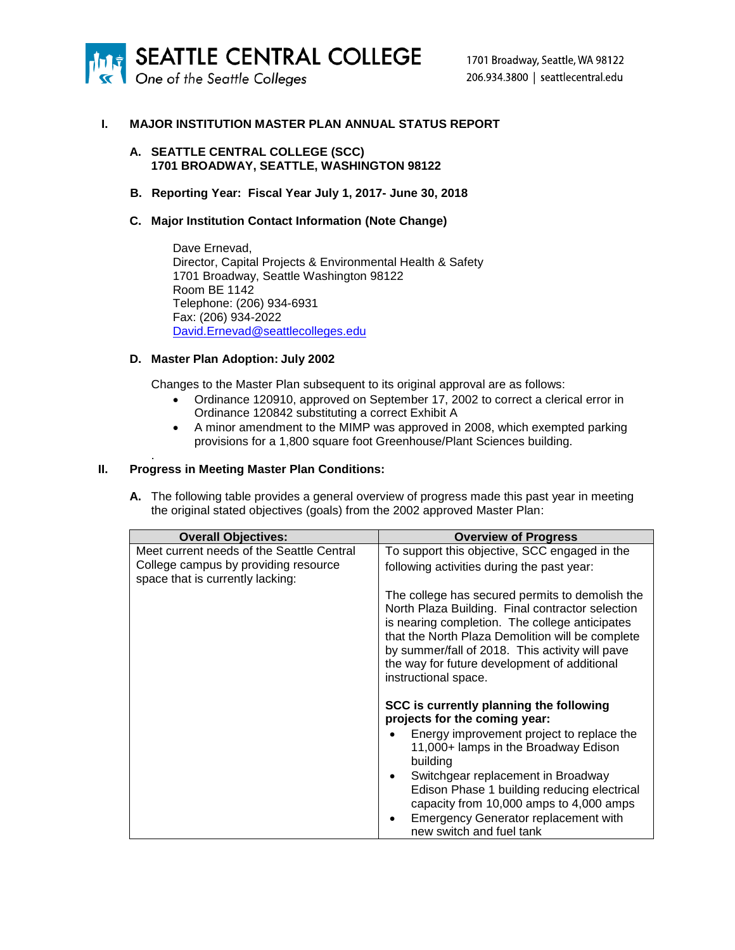

One of the Seattle Colleges

## **I. MAJOR INSTITUTION MASTER PLAN ANNUAL STATUS REPORT**

#### **A. SEATTLE CENTRAL COLLEGE (SCC) 1701 BROADWAY, SEATTLE, WASHINGTON 98122**

**B. Reporting Year: Fiscal Year July 1, 2017- June 30, 2018**

### **C. Major Institution Contact Information (Note Change)**

Dave Ernevad, Director, Capital Projects & Environmental Health & Safety 1701 Broadway, Seattle Washington 98122 Room BE 1142 Telephone: (206) 934-6931 Fax: (206) 934-2022 [David.Ernevad@seattlecolleges.edu](mailto:david.ernevad@seattlecolleges.edu)

#### **D. Master Plan Adoption: July 2002**

Changes to the Master Plan subsequent to its original approval are as follows:

- Ordinance 120910, approved on September 17, 2002 to correct a clerical error in Ordinance 120842 substituting a correct Exhibit A
- A minor amendment to the MIMP was approved in 2008, which exempted parking provisions for a 1,800 square foot Greenhouse/Plant Sciences building.

### **II. Progress in Meeting Master Plan Conditions:**

.

**A.** The following table provides a general overview of progress made this past year in meeting the original stated objectives (goals) from the 2002 approved Master Plan:

| <b>Overall Objectives:</b>                                               | <b>Overview of Progress</b>                                                                                                                                                                                                                                                                                                          |
|--------------------------------------------------------------------------|--------------------------------------------------------------------------------------------------------------------------------------------------------------------------------------------------------------------------------------------------------------------------------------------------------------------------------------|
| Meet current needs of the Seattle Central                                | To support this objective, SCC engaged in the                                                                                                                                                                                                                                                                                        |
| College campus by providing resource<br>space that is currently lacking: | following activities during the past year:                                                                                                                                                                                                                                                                                           |
|                                                                          | The college has secured permits to demolish the<br>North Plaza Building. Final contractor selection<br>is nearing completion. The college anticipates<br>that the North Plaza Demolition will be complete<br>by summer/fall of 2018. This activity will pave<br>the way for future development of additional<br>instructional space. |
|                                                                          | SCC is currently planning the following                                                                                                                                                                                                                                                                                              |
|                                                                          | projects for the coming year:<br>Energy improvement project to replace the<br>11,000+ lamps in the Broadway Edison<br>building<br>Switchgear replacement in Broadway                                                                                                                                                                 |
|                                                                          | Edison Phase 1 building reducing electrical<br>capacity from 10,000 amps to 4,000 amps                                                                                                                                                                                                                                               |
|                                                                          | <b>Emergency Generator replacement with</b><br>new switch and fuel tank                                                                                                                                                                                                                                                              |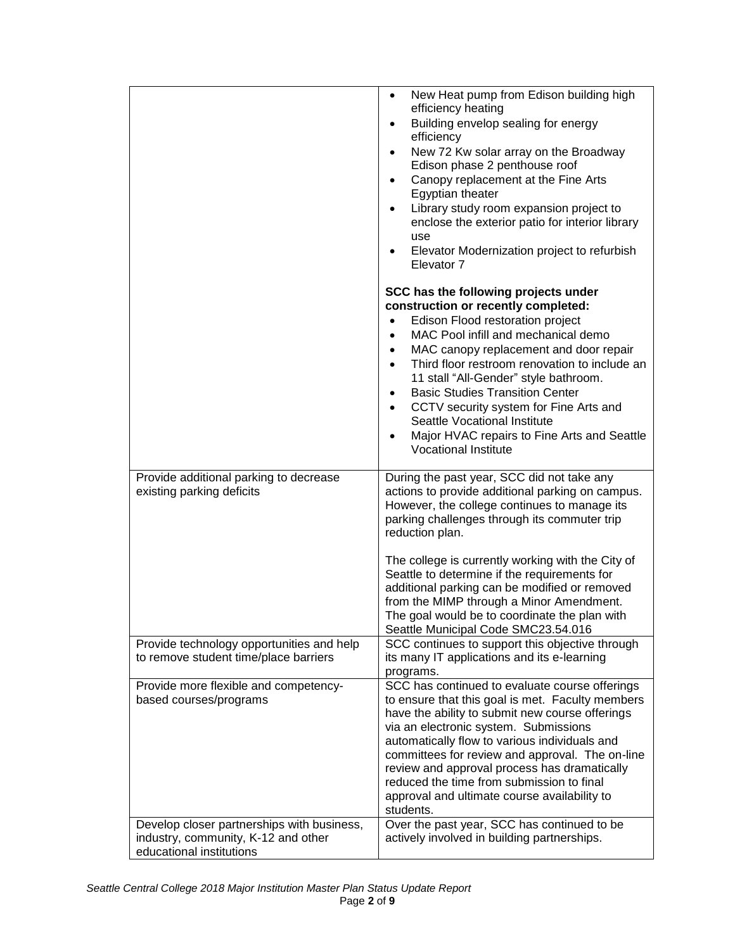|                                                                                                                                                       | New Heat pump from Edison building high<br>$\bullet$<br>efficiency heating<br>Building envelop sealing for energy<br>$\bullet$<br>efficiency<br>New 72 Kw solar array on the Broadway<br>$\bullet$<br>Edison phase 2 penthouse roof<br>Canopy replacement at the Fine Arts<br>$\bullet$<br>Egyptian theater<br>Library study room expansion project to<br>$\bullet$<br>enclose the exterior patio for interior library<br>use<br>Elevator Modernization project to refurbish<br>Elevator 7                                                                                  |
|-------------------------------------------------------------------------------------------------------------------------------------------------------|-----------------------------------------------------------------------------------------------------------------------------------------------------------------------------------------------------------------------------------------------------------------------------------------------------------------------------------------------------------------------------------------------------------------------------------------------------------------------------------------------------------------------------------------------------------------------------|
|                                                                                                                                                       | SCC has the following projects under<br>construction or recently completed:<br>Edison Flood restoration project<br>$\bullet$<br>MAC Pool infill and mechanical demo<br>$\bullet$<br>MAC canopy replacement and door repair<br>$\bullet$<br>Third floor restroom renovation to include an<br>11 stall "All-Gender" style bathroom.<br><b>Basic Studies Transition Center</b><br>٠<br>CCTV security system for Fine Arts and<br>Seattle Vocational Institute<br>Major HVAC repairs to Fine Arts and Seattle<br><b>Vocational Institute</b>                                    |
| Provide additional parking to decrease<br>existing parking deficits                                                                                   | During the past year, SCC did not take any<br>actions to provide additional parking on campus.<br>However, the college continues to manage its<br>parking challenges through its commuter trip<br>reduction plan.<br>The college is currently working with the City of<br>Seattle to determine if the requirements for<br>additional parking can be modified or removed<br>from the MIMP through a Minor Amendment.<br>The goal would be to coordinate the plan with<br>Seattle Municipal Code SMC23.54.016                                                                 |
| Provide technology opportunities and help<br>to remove student time/place barriers<br>Provide more flexible and competency-<br>based courses/programs | SCC continues to support this objective through<br>its many IT applications and its e-learning<br>programs.<br>SCC has continued to evaluate course offerings<br>to ensure that this goal is met. Faculty members<br>have the ability to submit new course offerings<br>via an electronic system. Submissions<br>automatically flow to various individuals and<br>committees for review and approval. The on-line<br>review and approval process has dramatically<br>reduced the time from submission to final<br>approval and ultimate course availability to<br>students. |
| Develop closer partnerships with business,<br>industry, community, K-12 and other<br>educational institutions                                         | Over the past year, SCC has continued to be<br>actively involved in building partnerships.                                                                                                                                                                                                                                                                                                                                                                                                                                                                                  |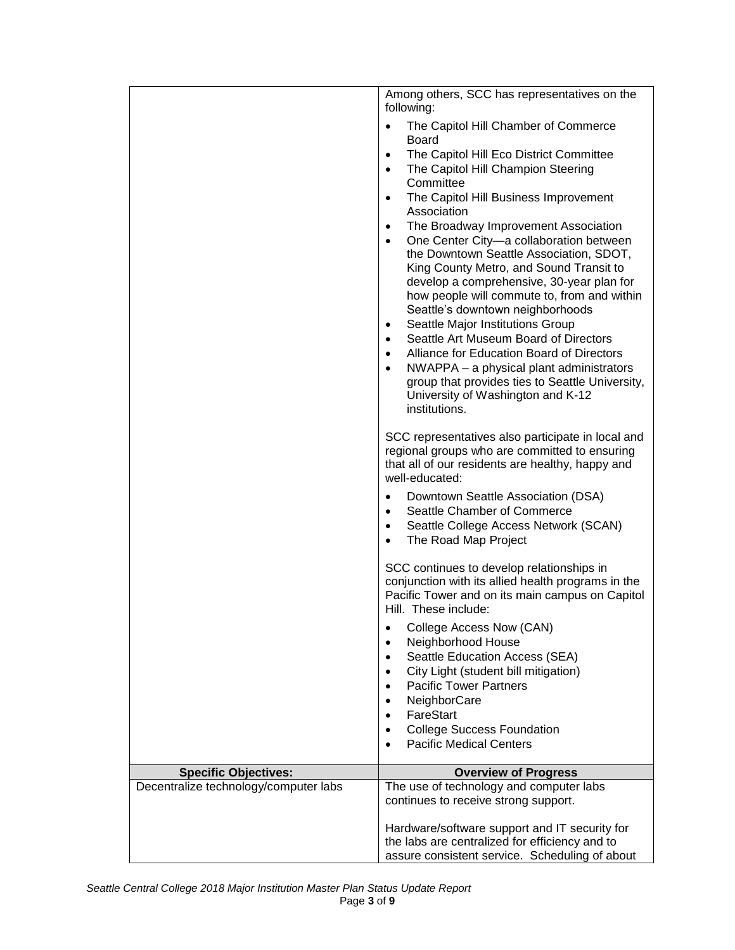|                                       | Among others, SCC has representatives on the<br>following:                                                                                                                                                               |
|---------------------------------------|--------------------------------------------------------------------------------------------------------------------------------------------------------------------------------------------------------------------------|
|                                       | The Capitol Hill Chamber of Commerce<br>$\bullet$                                                                                                                                                                        |
|                                       | <b>Board</b><br>The Capitol Hill Eco District Committee<br>$\bullet$<br>The Capitol Hill Champion Steering<br>$\bullet$<br>Committee                                                                                     |
|                                       | The Capitol Hill Business Improvement<br>$\bullet$<br>Association                                                                                                                                                        |
|                                       | The Broadway Improvement Association<br>$\bullet$<br>One Center City-a collaboration between<br>$\bullet$                                                                                                                |
|                                       | the Downtown Seattle Association, SDOT,<br>King County Metro, and Sound Transit to<br>develop a comprehensive, 30-year plan for<br>how people will commute to, from and within                                           |
|                                       | Seattle's downtown neighborhoods<br>Seattle Major Institutions Group<br>$\bullet$                                                                                                                                        |
|                                       | Seattle Art Museum Board of Directors<br>$\bullet$                                                                                                                                                                       |
|                                       | Alliance for Education Board of Directors<br>$\bullet$<br>NWAPPA - a physical plant administrators<br>$\bullet$<br>group that provides ties to Seattle University,<br>University of Washington and K-12<br>institutions. |
|                                       | SCC representatives also participate in local and<br>regional groups who are committed to ensuring<br>that all of our residents are healthy, happy and<br>well-educated:                                                 |
|                                       | Downtown Seattle Association (DSA)<br>Seattle Chamber of Commerce<br>$\bullet$<br>Seattle College Access Network (SCAN)<br>$\bullet$<br>The Road Map Project<br>$\bullet$                                                |
|                                       | SCC continues to develop relationships in<br>conjunction with its allied health programs in the<br>Pacific Tower and on its main campus on Capitol<br>Hill. These include:                                               |
|                                       | College Access Now (CAN)<br>$\bullet$                                                                                                                                                                                    |
|                                       | Neighborhood House<br>Seattle Education Access (SEA)<br>$\bullet$                                                                                                                                                        |
|                                       | City Light (student bill mitigation)<br>$\bullet$<br><b>Pacific Tower Partners</b>                                                                                                                                       |
|                                       | $\bullet$<br>NeighborCare                                                                                                                                                                                                |
|                                       | FareStart<br>$\bullet$                                                                                                                                                                                                   |
|                                       | <b>College Success Foundation</b><br>$\bullet$<br><b>Pacific Medical Centers</b><br>$\bullet$                                                                                                                            |
| <b>Specific Objectives:</b>           | <b>Overview of Progress</b>                                                                                                                                                                                              |
| Decentralize technology/computer labs | The use of technology and computer labs                                                                                                                                                                                  |
|                                       | continues to receive strong support.                                                                                                                                                                                     |
|                                       | Hardware/software support and IT security for                                                                                                                                                                            |
|                                       | the labs are centralized for efficiency and to<br>assure consistent service. Scheduling of about                                                                                                                         |
|                                       |                                                                                                                                                                                                                          |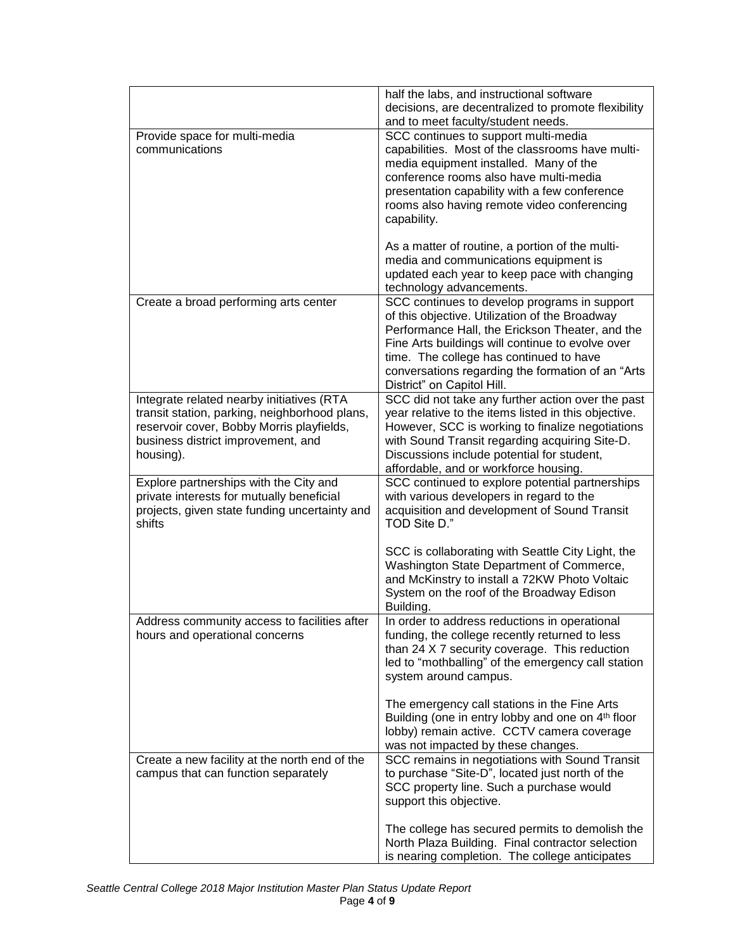|                                                                                                                                                                                            | half the labs, and instructional software<br>decisions, are decentralized to promote flexibility<br>and to meet faculty/student needs.                                                                                                                                                                                               |
|--------------------------------------------------------------------------------------------------------------------------------------------------------------------------------------------|--------------------------------------------------------------------------------------------------------------------------------------------------------------------------------------------------------------------------------------------------------------------------------------------------------------------------------------|
| Provide space for multi-media<br>communications                                                                                                                                            | SCC continues to support multi-media<br>capabilities. Most of the classrooms have multi-<br>media equipment installed. Many of the<br>conference rooms also have multi-media<br>presentation capability with a few conference<br>rooms also having remote video conferencing<br>capability.                                          |
|                                                                                                                                                                                            | As a matter of routine, a portion of the multi-<br>media and communications equipment is<br>updated each year to keep pace with changing<br>technology advancements.                                                                                                                                                                 |
| Create a broad performing arts center                                                                                                                                                      | SCC continues to develop programs in support<br>of this objective. Utilization of the Broadway<br>Performance Hall, the Erickson Theater, and the<br>Fine Arts buildings will continue to evolve over<br>time. The college has continued to have<br>conversations regarding the formation of an "Arts"<br>District" on Capitol Hill. |
| Integrate related nearby initiatives (RTA<br>transit station, parking, neighborhood plans,<br>reservoir cover, Bobby Morris playfields,<br>business district improvement, and<br>housing). | SCC did not take any further action over the past<br>year relative to the items listed in this objective.<br>However, SCC is working to finalize negotiations<br>with Sound Transit regarding acquiring Site-D.<br>Discussions include potential for student,<br>affordable, and or workforce housing.                               |
| Explore partnerships with the City and<br>private interests for mutually beneficial<br>projects, given state funding uncertainty and<br>shifts                                             | SCC continued to explore potential partnerships<br>with various developers in regard to the<br>acquisition and development of Sound Transit<br>TOD Site D."                                                                                                                                                                          |
|                                                                                                                                                                                            | SCC is collaborating with Seattle City Light, the<br>Washington State Department of Commerce,<br>and McKinstry to install a 72KW Photo Voltaic<br>System on the roof of the Broadway Edison<br>Building.                                                                                                                             |
| Address community access to facilities after<br>hours and operational concerns                                                                                                             | In order to address reductions in operational<br>funding, the college recently returned to less<br>than 24 X 7 security coverage. This reduction<br>led to "mothballing" of the emergency call station<br>system around campus.                                                                                                      |
|                                                                                                                                                                                            | The emergency call stations in the Fine Arts<br>Building (one in entry lobby and one on 4 <sup>th</sup> floor<br>lobby) remain active. CCTV camera coverage<br>was not impacted by these changes.                                                                                                                                    |
| Create a new facility at the north end of the<br>campus that can function separately                                                                                                       | SCC remains in negotiations with Sound Transit<br>to purchase "Site-D", located just north of the<br>SCC property line. Such a purchase would<br>support this objective.                                                                                                                                                             |
|                                                                                                                                                                                            | The college has secured permits to demolish the<br>North Plaza Building. Final contractor selection<br>is nearing completion. The college anticipates                                                                                                                                                                                |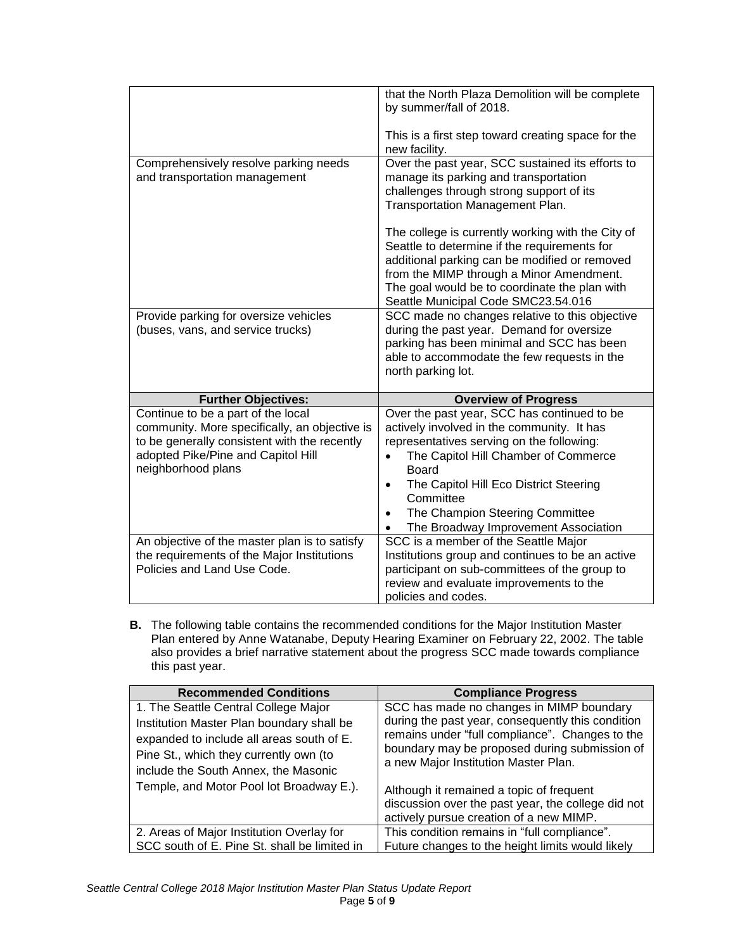|                                                                                                                                                                                                 | that the North Plaza Demolition will be complete<br>by summer/fall of 2018.                                                                                                                                                                                                                                                                         |
|-------------------------------------------------------------------------------------------------------------------------------------------------------------------------------------------------|-----------------------------------------------------------------------------------------------------------------------------------------------------------------------------------------------------------------------------------------------------------------------------------------------------------------------------------------------------|
|                                                                                                                                                                                                 | This is a first step toward creating space for the<br>new facility.                                                                                                                                                                                                                                                                                 |
| Comprehensively resolve parking needs<br>and transportation management                                                                                                                          | Over the past year, SCC sustained its efforts to<br>manage its parking and transportation<br>challenges through strong support of its<br>Transportation Management Plan.                                                                                                                                                                            |
|                                                                                                                                                                                                 | The college is currently working with the City of<br>Seattle to determine if the requirements for<br>additional parking can be modified or removed<br>from the MIMP through a Minor Amendment.<br>The goal would be to coordinate the plan with<br>Seattle Municipal Code SMC23.54.016                                                              |
| Provide parking for oversize vehicles<br>(buses, vans, and service trucks)                                                                                                                      | SCC made no changes relative to this objective<br>during the past year. Demand for oversize<br>parking has been minimal and SCC has been<br>able to accommodate the few requests in the<br>north parking lot.                                                                                                                                       |
| <b>Further Objectives:</b>                                                                                                                                                                      | <b>Overview of Progress</b>                                                                                                                                                                                                                                                                                                                         |
| Continue to be a part of the local<br>community. More specifically, an objective is<br>to be generally consistent with the recently<br>adopted Pike/Pine and Capitol Hill<br>neighborhood plans | Over the past year, SCC has continued to be<br>actively involved in the community. It has<br>representatives serving on the following:<br>The Capitol Hill Chamber of Commerce<br>$\bullet$<br>Board<br>The Capitol Hill Eco District Steering<br>$\bullet$<br>Committee<br>The Champion Steering Committee<br>The Broadway Improvement Association |
| An objective of the master plan is to satisfy<br>the requirements of the Major Institutions<br>Policies and Land Use Code.                                                                      | SCC is a member of the Seattle Major<br>Institutions group and continues to be an active<br>participant on sub-committees of the group to<br>review and evaluate improvements to the<br>policies and codes.                                                                                                                                         |

**B.** The following table contains the recommended conditions for the Major Institution Master Plan entered by Anne Watanabe, Deputy Hearing Examiner on February 22, 2002. The table also provides a brief narrative statement about the progress SCC made towards compliance this past year.

| <b>Recommended Conditions</b>                | <b>Compliance Progress</b>                                                            |
|----------------------------------------------|---------------------------------------------------------------------------------------|
| 1. The Seattle Central College Major         | SCC has made no changes in MIMP boundary                                              |
| Institution Master Plan boundary shall be    | during the past year, consequently this condition                                     |
| expanded to include all areas south of E.    | remains under "full compliance". Changes to the                                       |
| Pine St., which they currently own (to       | boundary may be proposed during submission of<br>a new Major Institution Master Plan. |
| include the South Annex, the Masonic         |                                                                                       |
| Temple, and Motor Pool lot Broadway E.).     | Although it remained a topic of frequent                                              |
|                                              | discussion over the past year, the college did not                                    |
|                                              | actively pursue creation of a new MIMP.                                               |
| 2. Areas of Major Institution Overlay for    | This condition remains in "full compliance".                                          |
| SCC south of E. Pine St. shall be limited in | Future changes to the height limits would likely                                      |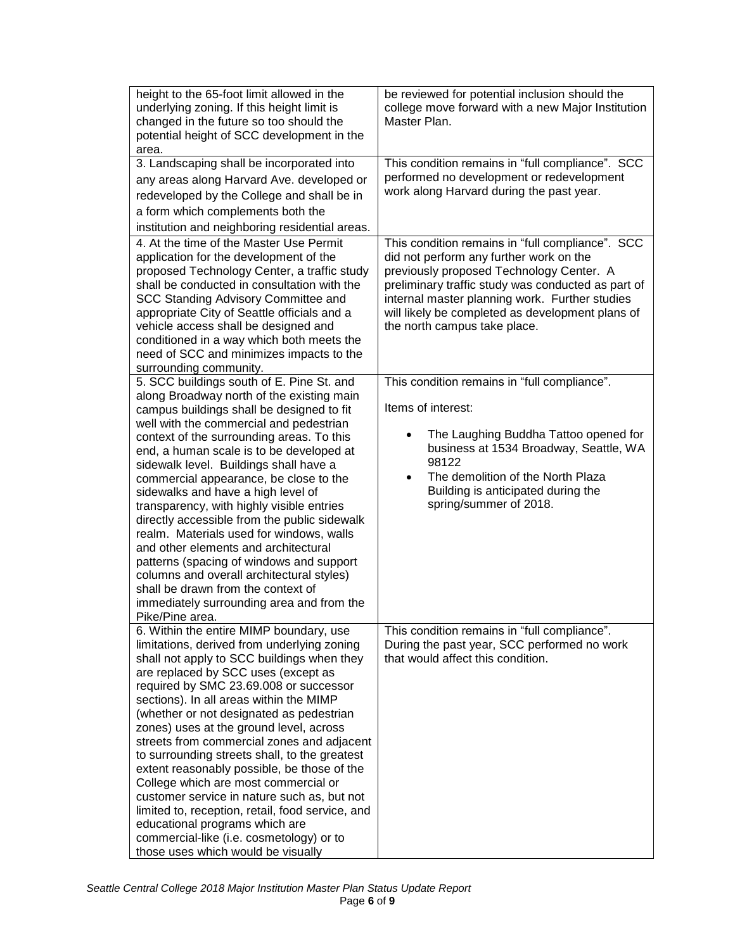| height to the 65-foot limit allowed in the<br>underlying zoning. If this height limit is<br>changed in the future so too should the<br>potential height of SCC development in the<br>area.                                                                                                                                                                                                                                                                                                                                                                                                                                                                                                                                                                                        | be reviewed for potential inclusion should the<br>college move forward with a new Major Institution<br>Master Plan.                                                                                                                                                                                                                 |
|-----------------------------------------------------------------------------------------------------------------------------------------------------------------------------------------------------------------------------------------------------------------------------------------------------------------------------------------------------------------------------------------------------------------------------------------------------------------------------------------------------------------------------------------------------------------------------------------------------------------------------------------------------------------------------------------------------------------------------------------------------------------------------------|-------------------------------------------------------------------------------------------------------------------------------------------------------------------------------------------------------------------------------------------------------------------------------------------------------------------------------------|
| 3. Landscaping shall be incorporated into<br>any areas along Harvard Ave. developed or<br>redeveloped by the College and shall be in<br>a form which complements both the<br>institution and neighboring residential areas.                                                                                                                                                                                                                                                                                                                                                                                                                                                                                                                                                       | This condition remains in "full compliance". SCC<br>performed no development or redevelopment<br>work along Harvard during the past year.                                                                                                                                                                                           |
| 4. At the time of the Master Use Permit<br>application for the development of the<br>proposed Technology Center, a traffic study<br>shall be conducted in consultation with the<br>SCC Standing Advisory Committee and<br>appropriate City of Seattle officials and a<br>vehicle access shall be designed and<br>conditioned in a way which both meets the<br>need of SCC and minimizes impacts to the<br>surrounding community.                                                                                                                                                                                                                                                                                                                                                  | This condition remains in "full compliance". SCC<br>did not perform any further work on the<br>previously proposed Technology Center. A<br>preliminary traffic study was conducted as part of<br>internal master planning work. Further studies<br>will likely be completed as development plans of<br>the north campus take place. |
| 5. SCC buildings south of E. Pine St. and<br>along Broadway north of the existing main<br>campus buildings shall be designed to fit<br>well with the commercial and pedestrian<br>context of the surrounding areas. To this<br>end, a human scale is to be developed at<br>sidewalk level. Buildings shall have a<br>commercial appearance, be close to the<br>sidewalks and have a high level of<br>transparency, with highly visible entries<br>directly accessible from the public sidewalk<br>realm. Materials used for windows, walls<br>and other elements and architectural<br>patterns (spacing of windows and support<br>columns and overall architectural styles)<br>shall be drawn from the context of<br>immediately surrounding area and from the<br>Pike/Pine area. | This condition remains in "full compliance".<br>Items of interest:<br>The Laughing Buddha Tattoo opened for<br>business at 1534 Broadway, Seattle, WA<br>98122<br>The demolition of the North Plaza<br>$\bullet$<br>Building is anticipated during the<br>spring/summer of 2018.                                                    |
| 6. Within the entire MIMP boundary, use<br>limitations, derived from underlying zoning<br>shall not apply to SCC buildings when they<br>are replaced by SCC uses (except as<br>required by SMC 23.69.008 or successor<br>sections). In all areas within the MIMP<br>(whether or not designated as pedestrian<br>zones) uses at the ground level, across<br>streets from commercial zones and adjacent<br>to surrounding streets shall, to the greatest<br>extent reasonably possible, be those of the<br>College which are most commercial or<br>customer service in nature such as, but not<br>limited to, reception, retail, food service, and<br>educational programs which are<br>commercial-like (i.e. cosmetology) or to<br>those uses which would be visually              | This condition remains in "full compliance".<br>During the past year, SCC performed no work<br>that would affect this condition.                                                                                                                                                                                                    |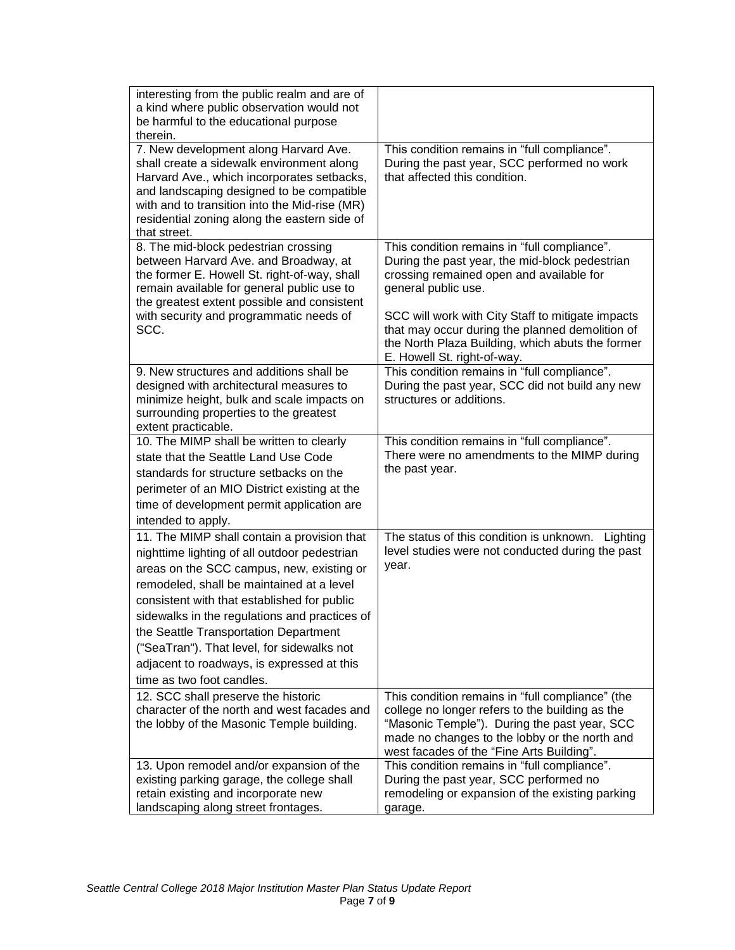| interesting from the public realm and are of<br>a kind where public observation would not<br>be harmful to the educational purpose<br>therein.                                                                                                                                                                                                                                                                                                          |                                                                                                                                                                                                                                                                                                                                                              |
|---------------------------------------------------------------------------------------------------------------------------------------------------------------------------------------------------------------------------------------------------------------------------------------------------------------------------------------------------------------------------------------------------------------------------------------------------------|--------------------------------------------------------------------------------------------------------------------------------------------------------------------------------------------------------------------------------------------------------------------------------------------------------------------------------------------------------------|
| 7. New development along Harvard Ave.<br>shall create a sidewalk environment along<br>Harvard Ave., which incorporates setbacks,<br>and landscaping designed to be compatible<br>with and to transition into the Mid-rise (MR)<br>residential zoning along the eastern side of<br>that street.                                                                                                                                                          | This condition remains in "full compliance".<br>During the past year, SCC performed no work<br>that affected this condition.                                                                                                                                                                                                                                 |
| 8. The mid-block pedestrian crossing<br>between Harvard Ave. and Broadway, at<br>the former E. Howell St. right-of-way, shall<br>remain available for general public use to<br>the greatest extent possible and consistent<br>with security and programmatic needs of<br>SCC.                                                                                                                                                                           | This condition remains in "full compliance".<br>During the past year, the mid-block pedestrian<br>crossing remained open and available for<br>general public use.<br>SCC will work with City Staff to mitigate impacts<br>that may occur during the planned demolition of<br>the North Plaza Building, which abuts the former<br>E. Howell St. right-of-way. |
| 9. New structures and additions shall be<br>designed with architectural measures to<br>minimize height, bulk and scale impacts on<br>surrounding properties to the greatest<br>extent practicable.                                                                                                                                                                                                                                                      | This condition remains in "full compliance".<br>During the past year, SCC did not build any new<br>structures or additions.                                                                                                                                                                                                                                  |
| 10. The MIMP shall be written to clearly<br>state that the Seattle Land Use Code<br>standards for structure setbacks on the<br>perimeter of an MIO District existing at the<br>time of development permit application are<br>intended to apply.                                                                                                                                                                                                         | This condition remains in "full compliance".<br>There were no amendments to the MIMP during<br>the past year.                                                                                                                                                                                                                                                |
| 11. The MIMP shall contain a provision that<br>nighttime lighting of all outdoor pedestrian<br>areas on the SCC campus, new, existing or<br>remodeled, shall be maintained at a level<br>consistent with that established for public<br>sidewalks in the regulations and practices of<br>the Seattle Transportation Department<br>("SeaTran"). That level, for sidewalks not<br>adjacent to roadways, is expressed at this<br>time as two foot candles. | The status of this condition is unknown. Lighting<br>level studies were not conducted during the past<br>year.                                                                                                                                                                                                                                               |
| 12. SCC shall preserve the historic<br>character of the north and west facades and<br>the lobby of the Masonic Temple building.                                                                                                                                                                                                                                                                                                                         | This condition remains in "full compliance" (the<br>college no longer refers to the building as the<br>"Masonic Temple"). During the past year, SCC<br>made no changes to the lobby or the north and<br>west facades of the "Fine Arts Building".                                                                                                            |
| 13. Upon remodel and/or expansion of the<br>existing parking garage, the college shall<br>retain existing and incorporate new<br>landscaping along street frontages.                                                                                                                                                                                                                                                                                    | This condition remains in "full compliance".<br>During the past year, SCC performed no<br>remodeling or expansion of the existing parking<br>garage.                                                                                                                                                                                                         |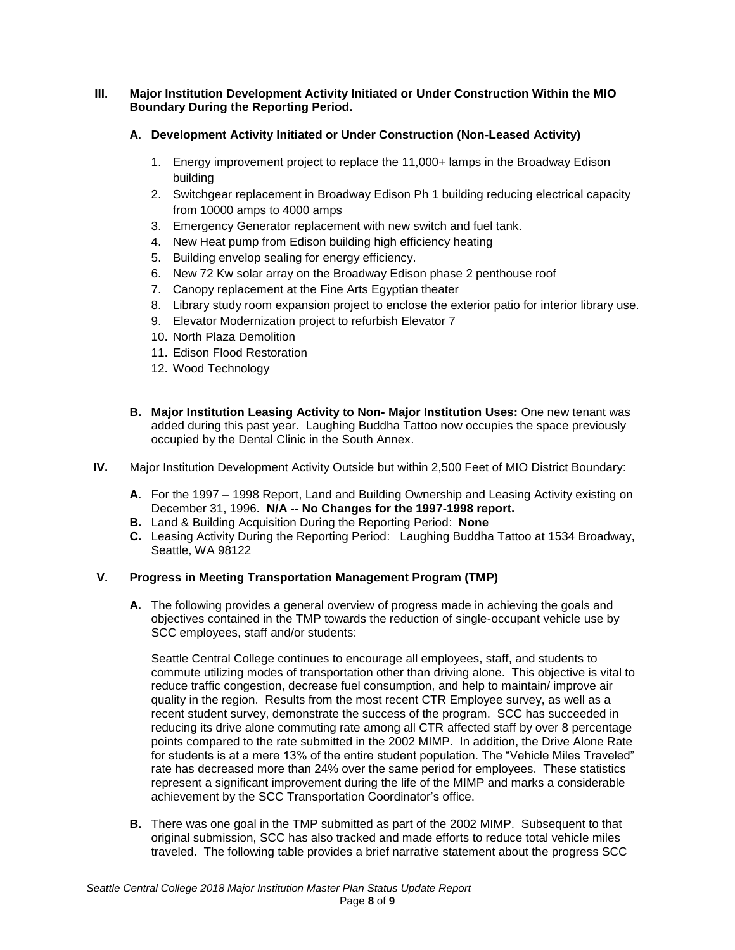# **III. Major Institution Development Activity Initiated or Under Construction Within the MIO Boundary During the Reporting Period.**

# **A. Development Activity Initiated or Under Construction (Non-Leased Activity)**

- 1. Energy improvement project to replace the 11,000+ lamps in the Broadway Edison building
- 2. Switchgear replacement in Broadway Edison Ph 1 building reducing electrical capacity from 10000 amps to 4000 amps
- 3. Emergency Generator replacement with new switch and fuel tank.
- 4. New Heat pump from Edison building high efficiency heating
- 5. Building envelop sealing for energy efficiency.
- 6. New 72 Kw solar array on the Broadway Edison phase 2 penthouse roof
- 7. Canopy replacement at the Fine Arts Egyptian theater
- 8. Library study room expansion project to enclose the exterior patio for interior library use.
- 9. Elevator Modernization project to refurbish Elevator 7
- 10. North Plaza Demolition
- 11. Edison Flood Restoration
- 12. Wood Technology
- **B. Major Institution Leasing Activity to Non- Major Institution Uses:** One new tenant was added during this past year. Laughing Buddha Tattoo now occupies the space previously occupied by the Dental Clinic in the South Annex.
- **IV.** Major Institution Development Activity Outside but within 2,500 Feet of MIO District Boundary:
	- **A.** For the 1997 1998 Report, Land and Building Ownership and Leasing Activity existing on December 31, 1996. **N/A -- No Changes for the 1997-1998 report.**
	- **B.** Land & Building Acquisition During the Reporting Period: **None**
	- **C.** Leasing Activity During the Reporting Period: Laughing Buddha Tattoo at 1534 Broadway, Seattle, WA 98122

# **V. Progress in Meeting Transportation Management Program (TMP)**

**A.** The following provides a general overview of progress made in achieving the goals and objectives contained in the TMP towards the reduction of single-occupant vehicle use by SCC employees, staff and/or students:

Seattle Central College continues to encourage all employees, staff, and students to commute utilizing modes of transportation other than driving alone. This objective is vital to reduce traffic congestion, decrease fuel consumption, and help to maintain/ improve air quality in the region. Results from the most recent CTR Employee survey, as well as a recent student survey, demonstrate the success of the program. SCC has succeeded in reducing its drive alone commuting rate among all CTR affected staff by over 8 percentage points compared to the rate submitted in the 2002 MIMP. In addition, the Drive Alone Rate for students is at a mere 13% of the entire student population. The "Vehicle Miles Traveled" rate has decreased more than 24% over the same period for employees. These statistics represent a significant improvement during the life of the MIMP and marks a considerable achievement by the SCC Transportation Coordinator's office.

**B.** There was one goal in the TMP submitted as part of the 2002 MIMP. Subsequent to that original submission, SCC has also tracked and made efforts to reduce total vehicle miles traveled. The following table provides a brief narrative statement about the progress SCC